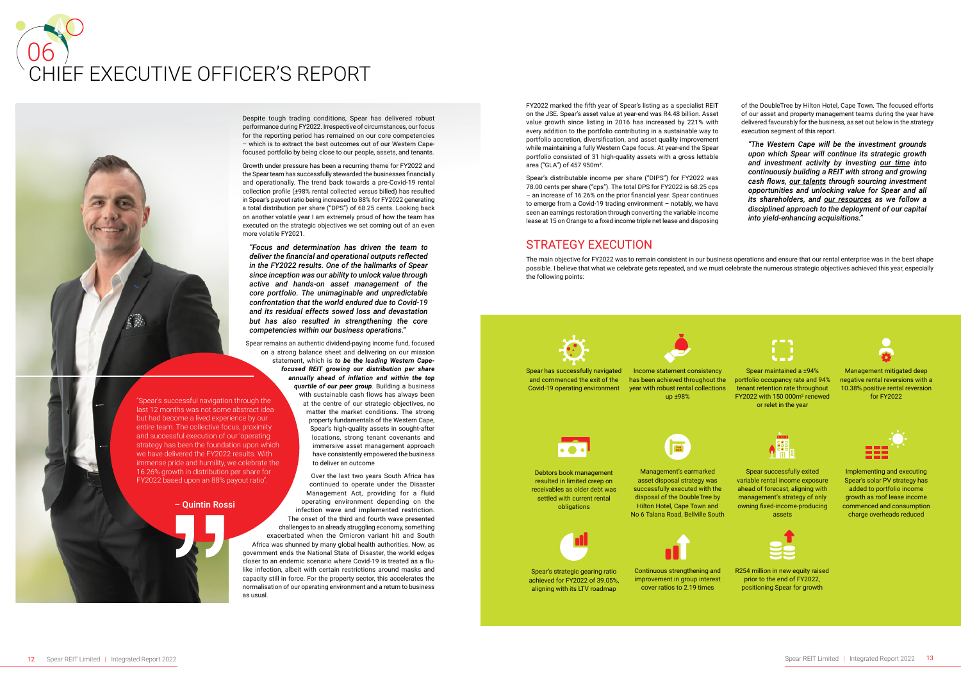#### – Quintin Rossi

"Spear's successful navigation through the last 12 months was not some abstract idea but had become a lived experience by our entire team. The collective focus, proximity and successful execution of our 'operating strategy has been the foundation upon which we have delivered the FY2022 results. With immense pride and humility, we celebrate the 16.26% growth in distribution per share for FY2022 based upon an 88% payout ratio".

# 06 CHIEF EXECUTIVE OFFICER'S REPORT



FY2022 marked the fifth year of Spear's listing as a specialist REIT on the JSE. Spear's asset value at year-end was R4.48 billion. Asset value growth since listing in 2016 has increased by 221% with every addition to the portfolio contributing in a sustainable way to portfolio accretion, diversification, and asset quality improvement while maintaining a fully Western Cape focus. At year-end the Spear portfolio consisted of 31 high-quality assets with a gross lettable area ("GLA") of 457 950m².

Spear's distributable income per share ("DIPS") for FY2022 was 78.00 cents per share ("cps"). The total DPS for FY2022 is 68.25 cps – an increase of 16.26% on the prior financial year. Spear continues to emerge from a Covid-19 trading environment – notably, we have seen an earnings restoration through converting the variable income lease at 15 on Orange to a fixed income triple net lease and disposing of the DoubleTree by Hilton Hotel, Cape Town. The focused efforts of our asset and property management teams during the year have delivered favourably for the business, as set out below in the strategy execution segment of this report.

*"The Western Cape will be the investment grounds upon which Spear will continue its strategic growth and investment activity by investing our time into continuously building a REIT with strong and growing cash flows, our talents through sourcing investment opportunities and unlocking value for Spear and all its shareholders, and our resources as we follow a disciplined approach to the deployment of our capital into yield-enhancing acquisitions."*



# STRATEGY EXECUTION

The main objective for FY2022 was to remain consistent in our business operations and ensure that our rental enterprise was in the best shape possible. I believe that what we celebrate gets repeated, and we must celebrate the numerous strategic objectives achieved this year, especially the following points:

> Spear successfully exited variable rental income exposure ahead of forecast, aligning with management's strategy of only owning fixed-income-producing assets





Spear maintained a ±94% portfolio occupancy rate and 94% tenant retention rate throughout  $FY2022$  with 150 000 $m<sup>2</sup>$  renewed or relet in the year





Implementing and executing Spear's solar PV strategy has added to portfolio income growth as roof lease income commenced and consumption charge overheads reduced

Management mitigated deep negative rental reversions with a 10.38% positive rental reversion for FY2022



R254 million in new equity raised prior to the end of FY2022, positioning Spear for growth

Despite tough trading conditions, Spear has delivered robust performance during FY2022. Irrespective of circumstances, our focus for the reporting period has remained on our core competencies – which is to extract the best outcomes out of our Western Capefocused portfolio by being close to our people, assets, and tenants.

Growth under pressure has been a recurring theme for FY2022 and the Spear team has successfully stewarded the businesses financially and operationally. The trend back towards a pre-Covid-19 rental collection profile (±98% rental collected versus billed) has resulted in Spear's payout ratio being increased to 88% for FY2022 generating a total distribution per share ("DPS") of 68.25 cents. Looking back on another volatile year I am extremely proud of how the team has executed on the strategic objectives we set coming out of an even more volatile FY2021.

*"Focus and determination has driven the team to deliver the financial and operational outputs reflected in the FY2022 results. One of the hallmarks of Spear since inception was our ability to unlock value through active and hands-on asset management of the core portfolio. The unimaginable and unpredictable confrontation that the world endured due to Covid-19 and its residual effects sowed loss and devastation but has also resulted in strengthening the core competencies within our business operations."*

Spear remains an authentic dividend-paying income fund, focused on a strong balance sheet and delivering on our mission statement, which is *to be the leading Western Capefocused REIT growing our distribution per share annually ahead of inflation and within the top quartile of our peer group*. Building a business with sustainable cash flows has always been at the centre of our strategic objectives, no matter the market conditions. The strong property fundamentals of the Western Cape, Spear's high-quality assets in sought-after locations, strong tenant covenants and immersive asset management approach have consistently empowered the business to deliver an outcome

Over the last two years South Africa has continued to operate under the Disaster Management Act, providing for a fluid operating environment depending on the infection wave and implemented restriction. The onset of the third and fourth wave presented challenges to an already struggling economy, something exacerbated when the Omicron variant hit and South Africa was shunned by many global health authorities. Now, as government ends the National State of Disaster, the world edges closer to an endemic scenario where Covid-19 is treated as a flulike infection, albeit with certain restrictions around masks and capacity still in force. For the property sector, this accelerates the normalisation of our operating environment and a return to business as usual.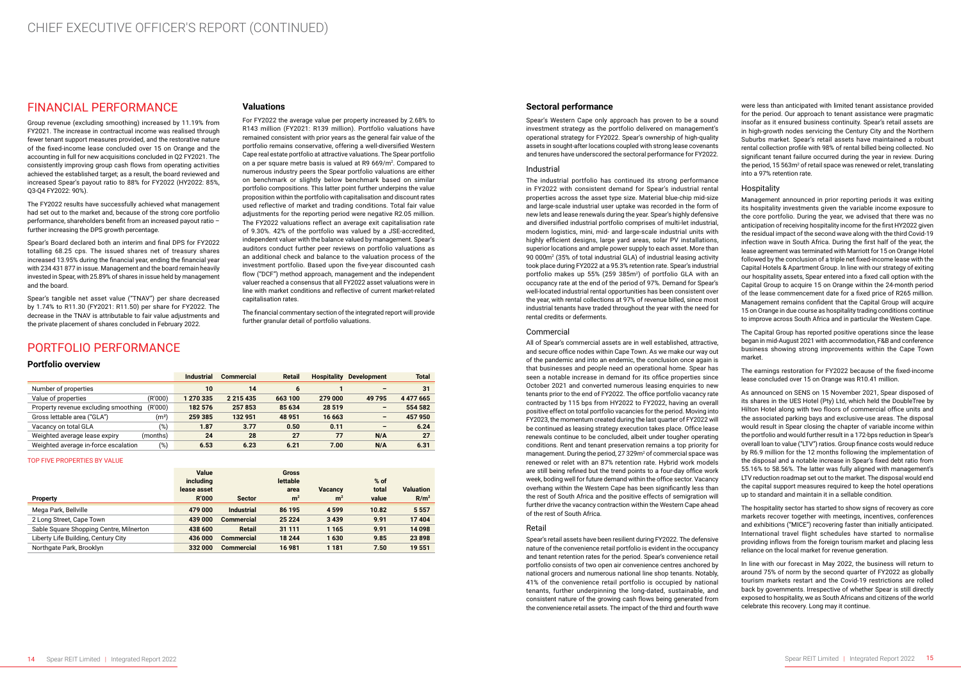### FINANCIAL PERFORMANCE

Group revenue (excluding smoothing) increased by 11.19% from FY2021. The increase in contractual income was realised through fewer tenant support measures provided, and the restorative nature of the fixed-income lease concluded over 15 on Orange and the accounting in full for new acquisitions concluded in Q2 FY2021. The consistently improving group cash flows from operating activities achieved the established target; as a result, the board reviewed and increased Spear's payout ratio to 88% for FY2022 (HY2022: 85%, Q3-Q4 FY2022: 90%).

The FY2022 results have successfully achieved what management had set out to the market and, because of the strong core portfolio performance, shareholders benefit from an increased payout ratio – further increasing the DPS growth percentage.

Spear's Board declared both an interim and final DPS for FY2022 totalling 68.25 cps. The issued shares net of treasury shares increased 13.95% during the financial year, ending the financial year with 234 431 877 in issue. Management and the board remain heavily invested in Spear, with 25.89% of shares in issue held by management and the board.

Spear's tangible net asset value ("TNAV") per share decreased by 1.74% to R11.30 (FY2021: R11.50) per share for FY2022. The decrease in the TNAV is attributable to fair value adjustments and the private placement of shares concluded in February 2022.

#### **Valuations**

For FY2022 the average value per property increased by 2.68% to R143 million (FY2021: R139 million). Portfolio valuations have remained consistent with prior years as the general fair value of the portfolio remains conservative, offering a well-diversified Western Cape real estate portfolio at attractive valuations. The Spear portfolio on a per square metre basis is valued at R9 669/m². Compared to numerous industry peers the Spear portfolio valuations are either on benchmark or slightly below benchmark based on similar portfolio compositions. This latter point further underpins the value proposition within the portfolio with capitalisation and discount rates used reflective of market and trading conditions. Total fair value adjustments for the reporting period were negative R2.05 million. The FY2022 valuations reflect an average exit capitalisation rate of 9.30%. 42% of the portfolio was valued by a JSE-accredited, independent valuer with the balance valued by management. Spear's auditors conduct further peer reviews on portfolio valuations as an additional check and balance to the valuation process of the investment portfolio. Based upon the five-year discounted cash flow ("DCF") method approach, management and the independent valuer reached a consensus that all FY2022 asset valuations were in line with market conditions and reflective of current market-related capitalisation rates.

The financial commentary section of the integrated report will provide further granular detail of portfolio valuations.

## PORTFOLIO PERFORMANCE

#### **Portfolio overview**

|                                                 | <b>Industrial</b> | <b>Commercial</b> | <b>Retail</b> | <b>Hospitality</b> | <b>Development</b> | <b>Total</b> |
|-------------------------------------------------|-------------------|-------------------|---------------|--------------------|--------------------|--------------|
| Number of properties                            | 10                | 14                | 6             |                    |                    | 31           |
| (R'000)<br>Value of properties                  | 1 270 335         | 2 2 1 5 4 3 5     | 663 100       | 279 000            | 49 795             | 4 4 7 6 6 5  |
| (R'000)<br>Property revenue excluding smoothing | 182 576           | 257853            | 85 634        | 28 5 19            | -                  | 554 582      |
| (mª)<br>Gross lettable area ("GLA")             | 259 385           | 132 951           | 48 951        | 16 663             | -                  | 457 950      |
| (%)<br>Vacancy on total GLA                     | 1.87              | 3.77              | 0.50          | 0.11               | -                  | 6.24         |
| Weighted average lease expiry<br>(months)       | 24                | 28                | 27            | 77                 | N/A                | 27           |
| (%)<br>Weighted average in-force escalation     | 6.53              | 6.23              | 6.21          | 7.00               | N/A                | 6.31         |

TOP FIVE PROPERTIES BY VALUE

|                                         | Value<br><i>including</i> |                   | <b>Gross</b><br><b>lettable</b> |                | $%$ of |                  |
|-----------------------------------------|---------------------------|-------------------|---------------------------------|----------------|--------|------------------|
|                                         | lease asset               |                   | area                            | <b>Vacancy</b> | total  | <b>Valuation</b> |
| <b>Property</b>                         | <b>R'000</b>              | <b>Sector</b>     | m <sup>2</sup>                  | m <sup>2</sup> | value  | R/m <sup>2</sup> |
| Mega Park, Bellville                    | 479 000                   | <b>Industrial</b> | 86 195                          | 4 5 9 9        | 10.82  | 5 5 5 7          |
| 2 Long Street, Cape Town                | 439 000                   | <b>Commercial</b> | 25 2 24                         | 3439           | 9.91   | 17404            |
| Sable Square Shopping Centre, Milnerton | 438 600                   | <b>Retail</b>     | 31 111                          | 1 1 6 5        | 9.91   | 14 098           |
| Liberty Life Building, Century City     | 436 000                   | <b>Commercial</b> | 18 244                          | 1630           | 9.85   | 23898            |
| Northgate Park, Brooklyn                | 332 000                   | <b>Commercial</b> | 16 981                          | 1 1 8 1        | 7.50   | 19 551           |

#### **Sectoral performance**

Spear's Western Cape only approach has proven to be a sound investment strategy as the portfolio delivered on management's operational strategy for FY2022. Spear's ownership of high-quality assets in sought-after locations coupled with strong lease covenants and tenures have underscored the sectoral performance for FY2022.

#### Industrial

The industrial portfolio has continued its strong performance in FY2022 with consistent demand for Spear's industrial rental properties across the asset type size. Material blue-chip mid-size and large-scale industrial user uptake was recorded in the form of new lets and lease renewals during the year. Spear's highly defensive and diversified industrial portfolio comprises of multi-let industrial, modern logistics, mini, mid- and large-scale industrial units with highly efficient designs, large yard areas, solar PV installations, superior locations and ample power supply to each asset. More than 90 000m<sup>2</sup> (35% of total industrial GLA) of industrial leasing activity took place during FY2022 at a 95.3% retention rate. Spear's industrial portfolio makes up 55% (259 385m2) of portfolio GLA with an occupancy rate at the end of the period of 97%. Demand for Spear's well-located industrial rental opportunities has been consistent over the year, with rental collections at 97% of revenue billed, since most industrial tenants have traded throughout the year with the need for rental credits or deferments.

#### Commercial

All of Spear's commercial assets are in well established, attractive, and secure office nodes within Cape Town. As we make our way out of the pandemic and into an endemic, the conclusion once again is that businesses and people need an operational home. Spear has seen a notable increase in demand for its office properties since October 2021 and converted numerous leasing enquiries to new tenants prior to the end of FY2022. The office portfolio vacancy rate contracted by 115 bps from HY2022 to FY2022, having an overall positive effect on total portfolio vacancies for the period. Moving into FY2023, the momentum created during the last quarter of FY2022 will be continued as leasing strategy execution takes place. Office lease renewals continue to be concluded, albeit under tougher operating conditions. Rent and tenant preservation remains a top priority for management. During the period, 27 329m<sup>2</sup> of commercial space was renewed or relet with an 87% retention rate. Hybrid work models are still being refined but the trend points to a four-day office work week, boding well for future demand within the office sector. Vacancy overhang within the Western Cape has been significantly less than the rest of South Africa and the positive effects of semigration will further drive the vacancy contraction within the Western Cape ahead of the rest of South Africa.

#### Retail

Spear's retail assets have been resilient during FY2022. The defensive nature of the convenience retail portfolio is evident in the occupancy and tenant retention rates for the period. Spear's convenience retail portfolio consists of two open air convenience centres anchored by national grocers and numerous national line shop tenants. Notably, 41% of the convenience retail portfolio is occupied by national tenants, further underpinning the long-dated, sustainable, and consistent nature of the growing cash flows being generated from the convenience retail assets. The impact of the third and fourth wave

were less than anticipated with limited tenant assistance provided for the period. Our approach to tenant assistance were pragmatic insofar as it ensured business continuity. Spear's retail assets are in high-growth nodes servicing the Century City and the Northern Suburbs market. Spear's retail assets have maintained a robust rental collection profile with 98% of rental billed being collected. No significant tenant failure occurred during the year in review. During the period, 15 563 $m<sup>2</sup>$  of retail space was renewed or relet, translating into a 97% retention rate.

#### Hospitality

Management announced in prior reporting periods it was exiting its hospitality investments given the variable income exposure to the core portfolio. During the year, we advised that there was no anticipation of receiving hospitality income for the first HY2022 given the residual impact of the second wave along with the third Covid-19 infection wave in South Africa. During the first half of the year, the lease agreement was terminated with Marriott for 15 on Orange Hotel followed by the conclusion of a triple net fixed-income lease with the Capital Hotels & Apartment Group. In line with our strategy of exiting our hospitality assets, Spear entered into a fixed call option with the Capital Group to acquire 15 on Orange within the 24-month period of the lease commencement date for a fixed price of R265 million. Management remains confident that the Capital Group will acquire 15 on Orange in due course as hospitality trading conditions continue to improve across South Africa and in particular the Western Cape.

The Capital Group has reported positive operations since the lease began in mid-August 2021 with accommodation, F&B and conference business showing strong improvements within the Cape Town market.

The earnings restoration for FY2022 because of the fixed-income lease concluded over 15 on Orange was R10.41 million.

As announced on SENS on 15 November 2021, Spear disposed of its shares in the UES Hotel (Pty) Ltd, which held the DoubleTree by Hilton Hotel along with two floors of commercial office units and the associated parking bays and exclusive-use areas. The disposal would result in Spear closing the chapter of variable income within the portfolio and would further result in a 172-bps reduction in Spear's overall loan to value ("LTV") ratios. Group finance costs would reduce by R6.9 million for the 12 months following the implementation of the disposal and a notable increase in Spear's fixed debt ratio from 55.16% to 58.56%. The latter was fully aligned with management's LTV reduction roadmap set out to the market. The disposal would end the capital support measures required to keep the hotel operations up to standard and maintain it in a sellable condition.

The hospitality sector has started to show signs of recovery as core markets recover together with meetings, incentives, conferences and exhibitions ("MICE") recovering faster than initially anticipated. International travel flight schedules have started to normalise providing inflows from the foreign tourism market and placing less reliance on the local market for revenue generation.

In line with our forecast in May 2022, the business will return to around 75% of norm by the second quarter of FY2022 as globally tourism markets restart and the Covid-19 restrictions are rolled back by governments. Irrespective of whether Spear is still directly exposed to hospitality, we as South Africans and citizens of the world celebrate this recovery. Long may it continue.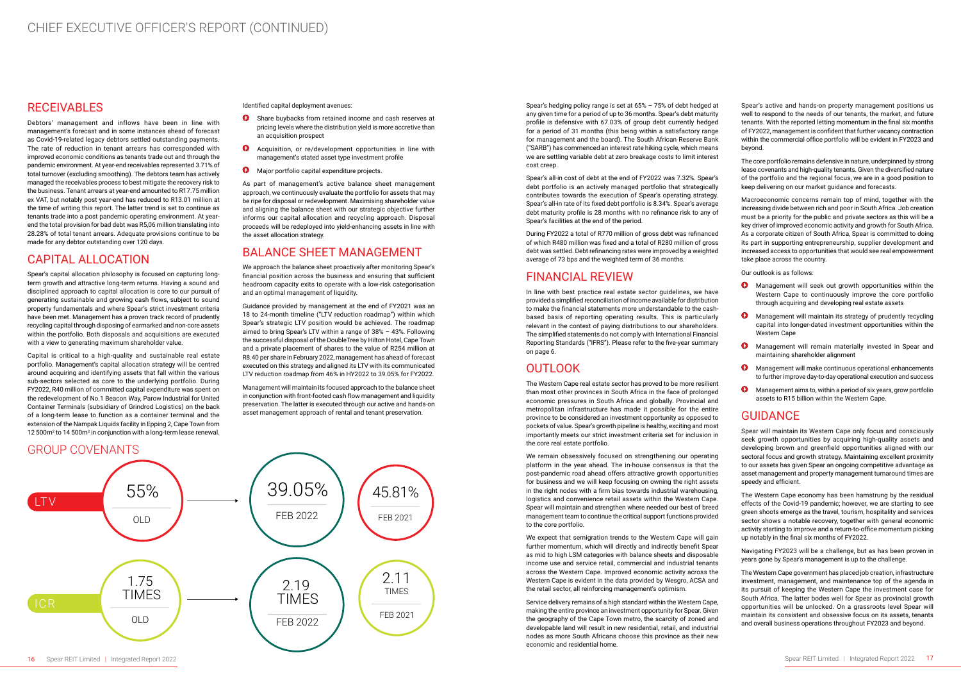# CHIEF EXECUTIVE OFFICER'S REPORT (CONTINUED)

#### RECEIVABLES

Debtors' management and inflows have been in line with management's forecast and in some instances ahead of forecast as Covid-19-related legacy debtors settled outstanding payments. The rate of reduction in tenant arrears has corresponded with improved economic conditions as tenants trade out and through the pandemic environment. At year-end receivables represented 3.71% of total turnover (excluding smoothing). The debtors team has actively managed the receivables process to best mitigate the recovery risk to the business. Tenant arrears at year-end amounted to R17.75 million ex VAT, but notably post year-end has reduced to R13.01 million at the time of writing this report. The latter trend is set to continue as tenants trade into a post pandemic operating environment. At yearend the total provision for bad debt was R5,06 million translating into 28.28% of total tenant arrears. Adequate provisions continue to be made for any debtor outstanding over 120 days.

Capital is critical to a high-quality and sustainable real estate portfolio. Management's capital allocation strategy will be centred around acquiring and identifying assets that fall within the various sub-sectors selected as core to the underlying portfolio. During FY2022, R40 million of committed capital expenditure was spent on the redevelopment of No.1 Beacon Way, Parow Industrial for United Container Terminals (subsidiary of Grindrod Logistics) on the back of a long-term lease to function as a container terminal and the extension of the Nampak Liquids facility in Epping 2, Cape Town from 12 500m<sup>2</sup> to 14 500m<sup>2</sup> in conjunction with a long-term lease renewal.

## CAPITAL ALLOCATION

Spear's capital allocation philosophy is focused on capturing longterm growth and attractive long-term returns. Having a sound and disciplined approach to capital allocation is core to our pursuit of generating sustainable and growing cash flows, subject to sound property fundamentals and where Spear's strict investment criteria have been met. Management has a proven track record of prudently recycling capital through disposing of earmarked and non-core assets within the portfolio. Both disposals and acquisitions are executed with a view to generating maximum shareholder value.

Identified capital deployment avenues:

- **O** Share buybacks from retained income and cash reserves at pricing levels where the distribution yield is more accretive than an acquisition prospect
- **A** Acquisition, or re/development opportunities in line with management's stated asset type investment profile
- **O** Major portfolio capital expenditure projects.

As part of management's active balance sheet management approach, we continuously evaluate the portfolio for assets that may be ripe for disposal or redevelopment. Maximising shareholder value and aligning the balance sheet with our strategic objective further informs our capital allocation and recycling approach. Disposal proceeds will be redeployed into yield-enhancing assets in line with the asset allocation strategy.

## BALANCE SHEET MANAGEMENT

We approach the balance sheet proactively after monitoring Spear's financial position across the business and ensuring that sufficient headroom capacity exits to operate with a low-risk categorisation and an optimal management of liquidity.

Guidance provided by management at the end of FY2021 was an 18 to 24-month timeline ("LTV reduction roadmap") within which Spear's strategic LTV position would be achieved. The roadmap aimed to bring Spear's LTV within a range of 38% – 43%. Following the successful disposal of the DoubleTree by Hilton Hotel, Cape Town and a private placement of shares to the value of R254 million at R8.40 per share in February 2022, management has ahead of forecast executed on this strategy and aligned its LTV with its communicated LTV reduction roadmap from 46% in HY2022 to 39.05% for FY2022.

> We expect that semigration trends to the Western Cape will gain further momentum, which will directly and indirectly benefit Spear as mid to high LSM categories with balance sheets and disposable income use and service retail, commercial and industrial tenants across the Western Cape. Improved economic activity across the Western Cape is evident in the data provided by Wesgro, ACSA and the retail sector, all reinforcing management's optimism.

Management will maintain its focused approach to the balance sheet in conjunction with front-footed cash flow management and liquidity preservation. The latter is executed through our active and hands-on asset management approach of rental and tenant preservation.

## GROUP COVENANTS

LTV OLD 55% FEB 2022 39.05% 2.19 TIMES FEB 2022 2.11 TIMES FEB 2021 FEB 2021 45.81% OLD 1.75 TIMES

Spear's hedging policy range is set at 65% – 75% of debt hedged at any given time for a period of up to 36 months. Spear's debt maturity profile is defensive with 67.03% of group debt currently hedged for a period of 31 months (this being within a satisfactory range for management and the board). The South African Reserve Bank ("SARB") has commenced an interest rate hiking cycle, which means we are settling variable debt at zero breakage costs to limit interest cost creep.

- **O** Management will seek out growth opportunities within the Western Cape to continuously improve the core portfolio through acquiring and developing real estate assets
- **O** Management will maintain its strategy of prudently recycling capital into longer-dated investment opportunities within the Western Cape
- **O** Management will remain materially invested in Spear and maintaining shareholder alignment
- $\Phi$ Management will make continuous operational enhancements to further improve day-to-day operational execution and success
- **O** Management aims to, within a period of six years, grow portfolio assets to R15 billion within the Western Cape.

Spear's all-in cost of debt at the end of FY2022 was 7.32%. Spear's debt portfolio is an actively managed portfolio that strategically contributes towards the execution of Spear's operating strategy. Spear's all-in rate of its fixed debt portfolio is 8.34%. Spear's average debt maturity profile is 28 months with no refinance risk to any of Spear's facilities at the end of the period.

During FY2022 a total of R770 million of gross debt was refinanced of which R480 million was fixed and a total of R280 million of gross debt was settled. Debt refinancing rates were improved by a weighted average of 73 bps and the weighted term of 36 months.

## FINANCIAL REVIEW

In line with best practice real estate sector guidelines, we have provided a simplified reconciliation of income available for distribution to make the financial statements more understandable to the cashbased basis of reporting operating results. This is particularly relevant in the context of paying distributions to our shareholders. The simplified statements do not comply with International Financial Reporting Standards ("IFRS"). Please refer to the five-year summary on page 6.

## OUTLOOK

The Western Cape real estate sector has proved to be more resilient than most other provinces in South Africa in the face of prolonged economic pressures in South Africa and globally. Provincial and metropolitan infrastructure has made it possible for the entire province to be considered an investment opportunity as opposed to pockets of value. Spear's growth pipeline is healthy, exciting and most importantly meets our strict investment criteria set for inclusion in the core real estate portfolio.

We remain obsessively focused on strengthening our operating platform in the year ahead. The in-house consensus is that the post-pandemic road ahead offers attractive growth opportunities for business and we will keep focusing on owning the right assets in the right nodes with a firm bias towards industrial warehousing, logistics and convenience retail assets within the Western Cape. Spear will maintain and strengthen where needed our best of breed management team to continue the critical support functions provided to the core portfolio.

Service delivery remains of a high standard within the Western Cape, making the entire province an investment opportunity for Spear. Given the geography of the Cape Town metro, the scarcity of zoned and developable land will result in new residential, retail, and industrial nodes as more South Africans choose this province as their new economic and residential home.

Spear's active and hands-on property management positions us well to respond to the needs of our tenants, the market, and future tenants. With the reported letting momentum in the final six months of FY2022, management is confident that further vacancy contraction within the commercial office portfolio will be evident in FY2023 and beyond.

The core portfolio remains defensive in nature, underpinned by strong lease covenants and high-quality tenants. Given the diversified nature of the portfolio and the regional focus, we are in a good position to keep delivering on our market guidance and forecasts.

Macroeconomic concerns remain top of mind, together with the increasing divide between rich and poor in South Africa. Job creation must be a priority for the public and private sectors as this will be a key driver of improved economic activity and growth for South Africa. As a corporate citizen of South Africa, Spear is committed to doing its part in supporting entrepreneurship, supplier development and increased access to opportunities that would see real empowerment take place across the country.

Our outlook is as follows:

## GUIDANCE

Spear will maintain its Western Cape only focus and consciously seek growth opportunities by acquiring high-quality assets and developing brown and greenfield opportunities aligned with our sectoral focus and growth strategy. Maintaining excellent proximity to our assets has given Spear an ongoing competitive advantage as asset management and property management turnaround times are speedy and efficient.

The Western Cape economy has been hamstrung by the residual effects of the Covid-19 pandemic; however, we are starting to see green shoots emerge as the travel, tourism, hospitality and services sector shows a notable recovery, together with general economic activity starting to improve and a return-to-office momentum picking up notably in the final six months of FY2022.

Navigating FY2023 will be a challenge, but as has been proven in years gone by Spear's management is up to the challenge.

The Western Cape government has placed job creation, infrastructure investment, management, and maintenance top of the agenda in its pursuit of keeping the Western Cape the investment case for South Africa. The latter bodes well for Spear as provincial growth opportunities will be unlocked. On a grassroots level Spear will maintain its consistent and obsessive focus on its assets, tenants and overall business operations throughout FY2023 and beyond.